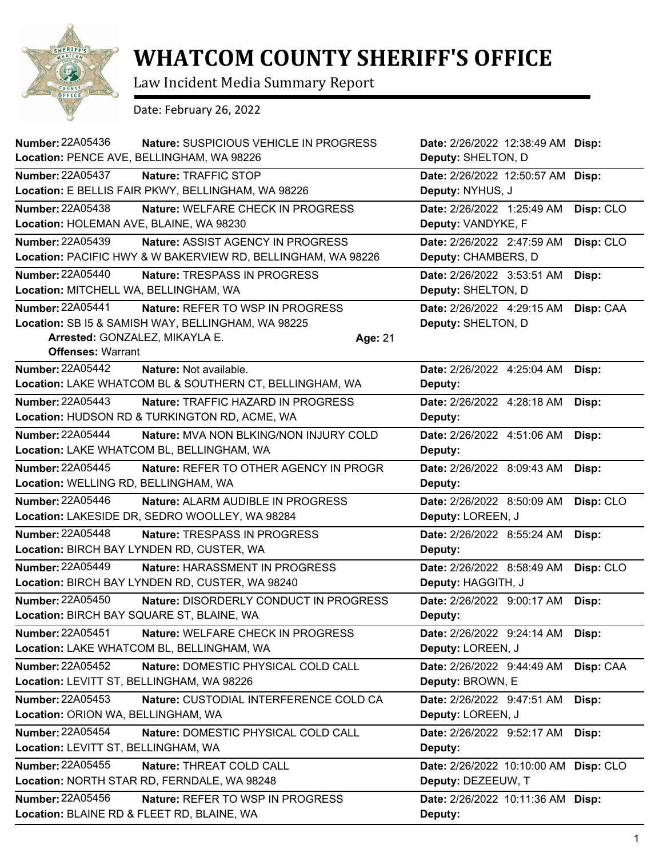

## **WHATCOM COUNTY SHERIFF'S OFFICE**

Law Incident Media Summary Report

Date: February 26, 2022

| <b>Number: 22A05436</b>                    | Nature: SUSPICIOUS VEHICLE IN PROGRESS                       |         | Date: 2/26/2022 12:38:49 AM Disp: |           |
|--------------------------------------------|--------------------------------------------------------------|---------|-----------------------------------|-----------|
| Location: PENCE AVE, BELLINGHAM, WA 98226  |                                                              |         | Deputy: SHELTON, D                |           |
| <b>Number: 22A05437</b>                    | Nature: TRAFFIC STOP                                         |         | Date: 2/26/2022 12:50:57 AM Disp: |           |
|                                            | Location: E BELLIS FAIR PKWY, BELLINGHAM, WA 98226           |         | Deputy: NYHUS, J                  |           |
| <b>Number: 22A05438</b>                    | Nature: WELFARE CHECK IN PROGRESS                            |         | Date: 2/26/2022 1:25:49 AM        | Disp: CLO |
| Location: HOLEMAN AVE, BLAINE, WA 98230    |                                                              |         | Deputy: VANDYKE, F                |           |
| Number: 22A05439                           | Nature: ASSIST AGENCY IN PROGRESS                            |         | Date: 2/26/2022 2:47:59 AM        | Disp: CLO |
|                                            | Location: PACIFIC HWY & W BAKERVIEW RD, BELLINGHAM, WA 98226 |         | Deputy: CHAMBERS, D               |           |
| <b>Number: 22A05440</b>                    | Nature: TRESPASS IN PROGRESS                                 |         | Date: 2/26/2022 3:53:51 AM        | Disp:     |
| Location: MITCHELL WA, BELLINGHAM, WA      |                                                              |         | Deputy: SHELTON, D                |           |
| Number: 22A05441                           | Nature: REFER TO WSP IN PROGRESS                             |         | Date: 2/26/2022 4:29:15 AM        | Disp: CAA |
|                                            | Location: SB I5 & SAMISH WAY, BELLINGHAM, WA 98225           |         | Deputy: SHELTON, D                |           |
| Arrested: GONZALEZ, MIKAYLA E.             |                                                              | Age: 21 |                                   |           |
| <b>Offenses: Warrant</b>                   |                                                              |         |                                   |           |
| <b>Number: 22A05442</b>                    | Nature: Not available.                                       |         | Date: 2/26/2022 4:25:04 AM        | Disp:     |
|                                            | Location: LAKE WHATCOM BL & SOUTHERN CT, BELLINGHAM, WA      |         | Deputy:                           |           |
| Number: 22A05443                           | Nature: TRAFFIC HAZARD IN PROGRESS                           |         | Date: 2/26/2022 4:28:18 AM        | Disp:     |
|                                            | Location: HUDSON RD & TURKINGTON RD, ACME, WA                |         | Deputy:                           |           |
| <b>Number: 22A05444</b>                    | Nature: MVA NON BLKING/NON INJURY COLD                       |         | Date: 2/26/2022 4:51:06 AM        | Disp:     |
|                                            | Location: LAKE WHATCOM BL, BELLINGHAM, WA                    |         | Deputy:                           |           |
| <b>Number: 22A05445</b>                    | Nature: REFER TO OTHER AGENCY IN PROGR                       |         | Date: 2/26/2022 8:09:43 AM        | Disp:     |
| Location: WELLING RD, BELLINGHAM, WA       |                                                              |         | Deputy:                           |           |
| Number: 22A05446                           | Nature: ALARM AUDIBLE IN PROGRESS                            |         | Date: 2/26/2022 8:50:09 AM        | Disp: CLO |
|                                            | Location: LAKESIDE DR, SEDRO WOOLLEY, WA 98284               |         | Deputy: LOREEN, J                 |           |
| <b>Number: 22A05448</b>                    | Nature: TRESPASS IN PROGRESS                                 |         | Date: 2/26/2022 8:55:24 AM        | Disp:     |
|                                            | Location: BIRCH BAY LYNDEN RD, CUSTER, WA                    |         | Deputy:                           |           |
| <b>Number: 22A05449</b>                    | Nature: HARASSMENT IN PROGRESS                               |         | Date: 2/26/2022 8:58:49 AM        | Disp: CLO |
|                                            | Location: BIRCH BAY LYNDEN RD, CUSTER, WA 98240              |         | Deputy: HAGGITH, J                |           |
| Number: 22A05450                           | Nature: DISORDERLY CONDUCT IN PROGRESS                       |         | Date: 2/26/2022 9:00:17 AM        | Disp:     |
| Location: BIRCH BAY SQUARE ST, BLAINE, WA  |                                                              |         | Deputy:                           |           |
| <b>Number: 22A05451</b>                    | Nature: WELFARE CHECK IN PROGRESS                            |         | Date: 2/26/2022 9:24:14 AM        | Disp:     |
|                                            | Location: LAKE WHATCOM BL, BELLINGHAM, WA                    |         | Deputy: LOREEN, J                 |           |
| <b>Number: 22A05452</b>                    | Nature: DOMESTIC PHYSICAL COLD CALL                          |         | Date: 2/26/2022 9:44:49 AM        | Disp: CAA |
| Location: LEVITT ST, BELLINGHAM, WA 98226  |                                                              |         | Deputy: BROWN, E                  |           |
| <b>Number: 22A05453</b>                    | Nature: CUSTODIAL INTERFERENCE COLD CA                       |         | Date: 2/26/2022 9:47:51 AM        | Disp:     |
| Location: ORION WA, BELLINGHAM, WA         |                                                              |         | Deputy: LOREEN, J                 |           |
| Number: 22A05454                           | Nature: DOMESTIC PHYSICAL COLD CALL                          |         | <b>Date:</b> 2/26/2022 9:52:17 AM | Disp:     |
| Location: LEVITT ST, BELLINGHAM, WA        |                                                              |         | Deputy:                           |           |
| <b>Number: 22A05455</b>                    | Nature: THREAT COLD CALL                                     |         | Date: 2/26/2022 10:10:00 AM       | Disp: CLO |
|                                            | Location: NORTH STAR RD, FERNDALE, WA 98248                  |         | Deputy: DEZEEUW, T                |           |
| Number: 22A05456                           | Nature: REFER TO WSP IN PROGRESS                             |         | Date: 2/26/2022 10:11:36 AM Disp: |           |
| Location: BLAINE RD & FLEET RD, BLAINE, WA |                                                              |         | Deputy:                           |           |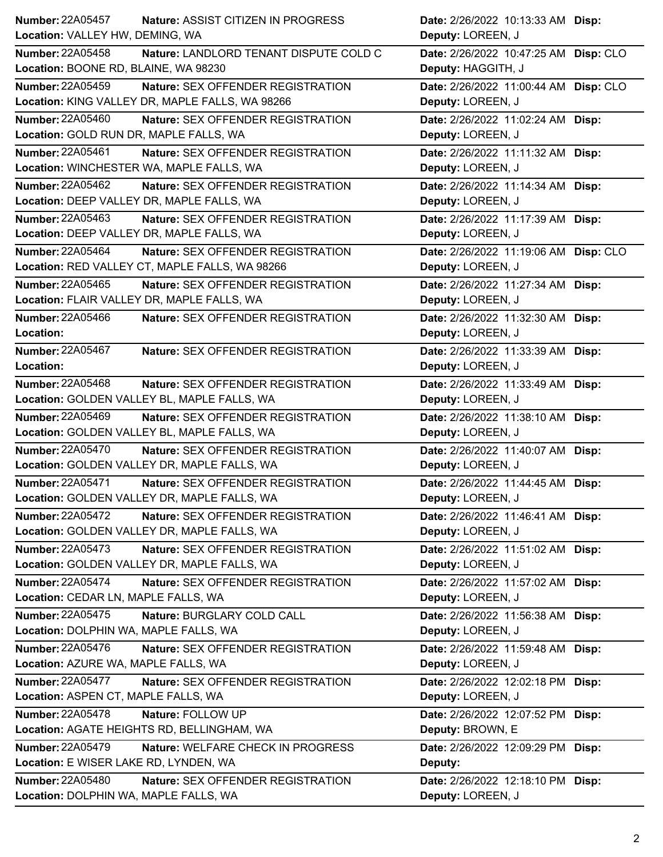| Number: 22A05457<br>Nature: ASSIST CITIZEN IN PROGRESS              | Date: 2/26/2022 10:13:33 AM Disp:     |
|---------------------------------------------------------------------|---------------------------------------|
| Location: VALLEY HW, DEMING, WA                                     | Deputy: LOREEN, J                     |
| <b>Number: 22A05458</b><br>Nature: LANDLORD TENANT DISPUTE COLD C   | Date: 2/26/2022 10:47:25 AM Disp: CLO |
| Location: BOONE RD, BLAINE, WA 98230                                | Deputy: HAGGITH, J                    |
| Number: 22A05459<br>Nature: SEX OFFENDER REGISTRATION               | Date: 2/26/2022 11:00:44 AM Disp: CLO |
| Location: KING VALLEY DR, MAPLE FALLS, WA 98266                     | Deputy: LOREEN, J                     |
| <b>Number: 22A05460</b><br>Nature: SEX OFFENDER REGISTRATION        | Date: 2/26/2022 11:02:24 AM Disp:     |
| Location: GOLD RUN DR, MAPLE FALLS, WA                              | Deputy: LOREEN, J                     |
| Number: 22A05461<br>Nature: SEX OFFENDER REGISTRATION               | Date: 2/26/2022 11:11:32 AM Disp:     |
| Location: WINCHESTER WA, MAPLE FALLS, WA                            | Deputy: LOREEN, J                     |
| Number: 22A05462<br>Nature: SEX OFFENDER REGISTRATION               | Date: 2/26/2022 11:14:34 AM Disp:     |
| Location: DEEP VALLEY DR, MAPLE FALLS, WA                           | Deputy: LOREEN, J                     |
| <b>Number: 22A05463</b><br><b>Nature: SEX OFFENDER REGISTRATION</b> | Date: 2/26/2022 11:17:39 AM Disp:     |
| Location: DEEP VALLEY DR, MAPLE FALLS, WA                           | Deputy: LOREEN, J                     |
| <b>Number: 22A05464</b><br>Nature: SEX OFFENDER REGISTRATION        | Date: 2/26/2022 11:19:06 AM Disp: CLO |
| Location: RED VALLEY CT, MAPLE FALLS, WA 98266                      | Deputy: LOREEN, J                     |
| <b>Number: 22A05465</b><br><b>Nature: SEX OFFENDER REGISTRATION</b> | Date: 2/26/2022 11:27:34 AM Disp:     |
| Location: FLAIR VALLEY DR, MAPLE FALLS, WA                          | Deputy: LOREEN, J                     |
| Number: 22A05466<br>Nature: SEX OFFENDER REGISTRATION               | Date: 2/26/2022 11:32:30 AM Disp:     |
| Location:                                                           | Deputy: LOREEN, J                     |
| Number: 22A05467<br>Nature: SEX OFFENDER REGISTRATION               | Date: 2/26/2022 11:33:39 AM Disp:     |
| Location:                                                           | Deputy: LOREEN, J                     |
| Number: 22A05468<br><b>Nature: SEX OFFENDER REGISTRATION</b>        | Date: 2/26/2022 11:33:49 AM Disp:     |
| Location: GOLDEN VALLEY BL, MAPLE FALLS, WA                         | Deputy: LOREEN, J                     |
| Number: 22A05469<br>Nature: SEX OFFENDER REGISTRATION               | Date: 2/26/2022 11:38:10 AM Disp:     |
| Location: GOLDEN VALLEY BL, MAPLE FALLS, WA                         | Deputy: LOREEN, J                     |
| <b>Number: 22A05470</b><br><b>Nature: SEX OFFENDER REGISTRATION</b> | Date: 2/26/2022 11:40:07 AM Disp:     |
| Location: GOLDEN VALLEY DR, MAPLE FALLS, WA                         | Deputy: LOREEN, J                     |
| Number: 22A05471<br>Nature: SEX OFFENDER REGISTRATION               | Date: 2/26/2022 11:44:45 AM Disp:     |
| Location: GOLDEN VALLEY DR, MAPLE FALLS, WA                         | Deputy: LOREEN, J                     |
| <b>Number: 22A05472</b><br>Nature: SEX OFFENDER REGISTRATION        | Date: 2/26/2022 11:46:41 AM Disp:     |
| Location: GOLDEN VALLEY DR, MAPLE FALLS, WA                         | Deputy: LOREEN, J                     |
| <b>Number: 22A05473</b><br>Nature: SEX OFFENDER REGISTRATION        | Date: 2/26/2022 11:51:02 AM Disp:     |
| Location: GOLDEN VALLEY DR, MAPLE FALLS, WA                         | Deputy: LOREEN, J                     |
| <b>Number: 22A05474</b><br><b>Nature: SEX OFFENDER REGISTRATION</b> | Date: 2/26/2022 11:57:02 AM Disp:     |
| Location: CEDAR LN, MAPLE FALLS, WA                                 | Deputy: LOREEN, J                     |
| <b>Number: 22A05475</b><br>Nature: BURGLARY COLD CALL               | Date: 2/26/2022 11:56:38 AM Disp:     |
| Location: DOLPHIN WA, MAPLE FALLS, WA                               | Deputy: LOREEN, J                     |
| <b>Number: 22A05476</b><br>Nature: SEX OFFENDER REGISTRATION        | Date: 2/26/2022 11:59:48 AM Disp:     |
| Location: AZURE WA, MAPLE FALLS, WA                                 | Deputy: LOREEN, J                     |
| <b>Number: 22A05477</b><br><b>Nature: SEX OFFENDER REGISTRATION</b> | Date: 2/26/2022 12:02:18 PM Disp:     |
| Location: ASPEN CT, MAPLE FALLS, WA                                 | Deputy: LOREEN, J                     |
| <b>Number: 22A05478</b><br>Nature: FOLLOW UP                        | Date: 2/26/2022 12:07:52 PM Disp:     |
| Location: AGATE HEIGHTS RD, BELLINGHAM, WA                          | Deputy: BROWN, E                      |
| <b>Number: 22A05479</b><br>Nature: WELFARE CHECK IN PROGRESS        | Date: 2/26/2022 12:09:29 PM Disp:     |
| Location: E WISER LAKE RD, LYNDEN, WA                               | Deputy:                               |
| <b>Number: 22A05480</b><br>Nature: SEX OFFENDER REGISTRATION        |                                       |
|                                                                     | Date: 2/26/2022 12:18:10 PM Disp:     |
| Location: DOLPHIN WA, MAPLE FALLS, WA                               | Deputy: LOREEN, J                     |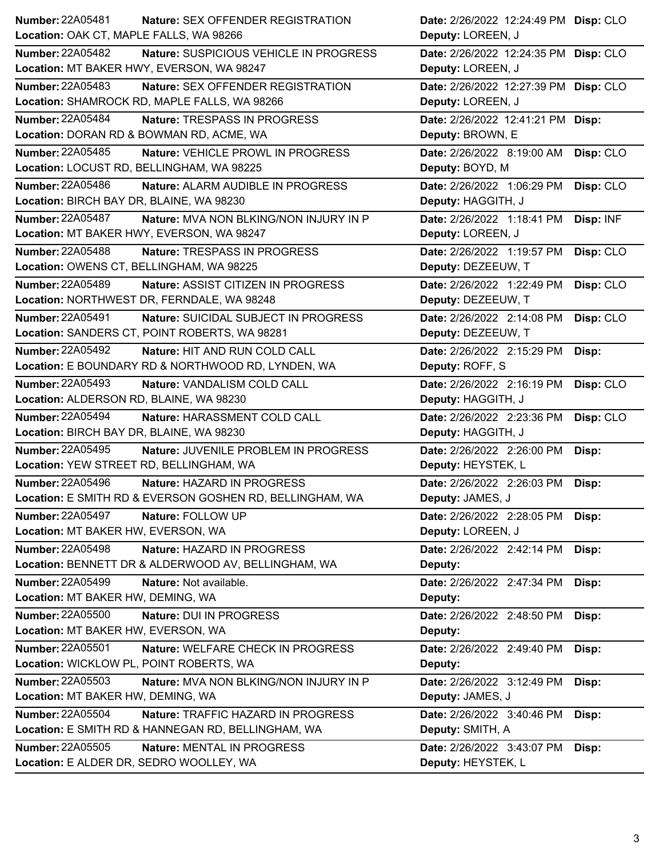| <b>Number: 22A05481</b>                  | <b>Nature: SEX OFFENDER REGISTRATION</b>                 | Date: 2/26/2022 12:24:49 PM Disp: CLO |           |
|------------------------------------------|----------------------------------------------------------|---------------------------------------|-----------|
| Location: OAK CT, MAPLE FALLS, WA 98266  |                                                          | Deputy: LOREEN, J                     |           |
| <b>Number: 22A05482</b>                  | Nature: SUSPICIOUS VEHICLE IN PROGRESS                   | Date: 2/26/2022 12:24:35 PM Disp: CLO |           |
|                                          | Location: MT BAKER HWY, EVERSON, WA 98247                | Deputy: LOREEN, J                     |           |
| Number: 22A05483                         | Nature: SEX OFFENDER REGISTRATION                        | Date: 2/26/2022 12:27:39 PM Disp: CLO |           |
|                                          | Location: SHAMROCK RD, MAPLE FALLS, WA 98266             | Deputy: LOREEN, J                     |           |
| <b>Number: 22A05484</b>                  | Nature: TRESPASS IN PROGRESS                             | Date: 2/26/2022 12:41:21 PM Disp:     |           |
|                                          | Location: DORAN RD & BOWMAN RD, ACME, WA                 | Deputy: BROWN, E                      |           |
| <b>Number: 22A05485</b>                  | Nature: VEHICLE PROWL IN PROGRESS                        | Date: 2/26/2022 8:19:00 AM            | Disp: CLO |
|                                          | Location: LOCUST RD, BELLINGHAM, WA 98225                | Deputy: BOYD, M                       |           |
| Number: 22A05486                         | Nature: ALARM AUDIBLE IN PROGRESS                        | Date: 2/26/2022 1:06:29 PM            | Disp: CLO |
| Location: BIRCH BAY DR, BLAINE, WA 98230 |                                                          | Deputy: HAGGITH, J                    |           |
| Number: 22A05487                         | Nature: MVA NON BLKING/NON INJURY IN P                   | Date: 2/26/2022 1:18:41 PM            | Disp: INF |
|                                          | Location: MT BAKER HWY, EVERSON, WA 98247                | Deputy: LOREEN, J                     |           |
| <b>Number: 22A05488</b>                  | Nature: TRESPASS IN PROGRESS                             | Date: 2/26/2022 1:19:57 PM            | Disp: CLO |
| Location: OWENS CT, BELLINGHAM, WA 98225 |                                                          | Deputy: DEZEEUW, T                    |           |
| <b>Number: 22A05489</b>                  | Nature: ASSIST CITIZEN IN PROGRESS                       | Date: 2/26/2022 1:22:49 PM            | Disp: CLO |
|                                          | Location: NORTHWEST DR, FERNDALE, WA 98248               | Deputy: DEZEEUW, T                    |           |
| Number: 22A05491                         | Nature: SUICIDAL SUBJECT IN PROGRESS                     | Date: 2/26/2022 2:14:08 PM            | Disp: CLO |
|                                          | Location: SANDERS CT, POINT ROBERTS, WA 98281            | Deputy: DEZEEUW, T                    |           |
| Number: 22A05492                         | Nature: HIT AND RUN COLD CALL                            | Date: 2/26/2022 2:15:29 PM            | Disp:     |
|                                          | Location: E BOUNDARY RD & NORTHWOOD RD, LYNDEN, WA       | Deputy: ROFF, S                       |           |
| Number: 22A05493                         | Nature: VANDALISM COLD CALL                              | Date: 2/26/2022 2:16:19 PM            | Disp: CLO |
| Location: ALDERSON RD, BLAINE, WA 98230  |                                                          | Deputy: HAGGITH, J                    |           |
| <b>Number: 22A05494</b>                  | Nature: HARASSMENT COLD CALL                             | Date: 2/26/2022 2:23:36 PM            | Disp: CLO |
| Location: BIRCH BAY DR, BLAINE, WA 98230 |                                                          | Deputy: HAGGITH, J                    |           |
| <b>Number: 22A05495</b>                  | Nature: JUVENILE PROBLEM IN PROGRESS                     | Date: 2/26/2022 2:26:00 PM            | Disp:     |
| Location: YEW STREET RD, BELLINGHAM, WA  |                                                          | Deputy: HEYSTEK, L                    |           |
| <b>Number: 22A05496</b>                  | Nature: HAZARD IN PROGRESS                               | Date: 2/26/2022 2:26:03 PM            | Disp:     |
|                                          | Location: E SMITH RD & EVERSON GOSHEN RD, BELLINGHAM, WA | Deputy: JAMES, J                      |           |
| <b>Number: 22A05497</b>                  | Nature: FOLLOW UP                                        | Date: 2/26/2022 2:28:05 PM            | Disp:     |
| Location: MT BAKER HW, EVERSON, WA       |                                                          | Deputy: LOREEN, J                     |           |
| <b>Number: 22A05498</b>                  | Nature: HAZARD IN PROGRESS                               | Date: 2/26/2022 2:42:14 PM            | Disp:     |
|                                          | Location: BENNETT DR & ALDERWOOD AV, BELLINGHAM, WA      | Deputy:                               |           |
| Number: 22A05499                         | Nature: Not available.                                   | Date: 2/26/2022 2:47:34 PM            | Disp:     |
| Location: MT BAKER HW, DEMING, WA        |                                                          | Deputy:                               |           |
| <b>Number: 22A05500</b>                  | Nature: DUI IN PROGRESS                                  | Date: 2/26/2022 2:48:50 PM            | Disp:     |
| Location: MT BAKER HW, EVERSON, WA       |                                                          | Deputy:                               |           |
| Number: 22A05501                         | Nature: WELFARE CHECK IN PROGRESS                        | Date: 2/26/2022 2:49:40 PM            | Disp:     |
| Location: WICKLOW PL, POINT ROBERTS, WA  |                                                          | Deputy:                               |           |
| <b>Number: 22A05503</b>                  | Nature: MVA NON BLKING/NON INJURY IN P                   | Date: 2/26/2022 3:12:49 PM            | Disp:     |
| Location: MT BAKER HW, DEMING, WA        |                                                          | Deputy: JAMES, J                      |           |
| Number: 22A05504                         | Nature: TRAFFIC HAZARD IN PROGRESS                       | Date: 2/26/2022 3:40:46 PM            | Disp:     |
|                                          | Location: E SMITH RD & HANNEGAN RD, BELLINGHAM, WA       | Deputy: SMITH, A                      |           |
| <b>Number: 22A05505</b>                  | <b>Nature: MENTAL IN PROGRESS</b>                        | Date: 2/26/2022 3:43:07 PM            | Disp:     |
| Location: E ALDER DR, SEDRO WOOLLEY, WA  |                                                          | Deputy: HEYSTEK, L                    |           |